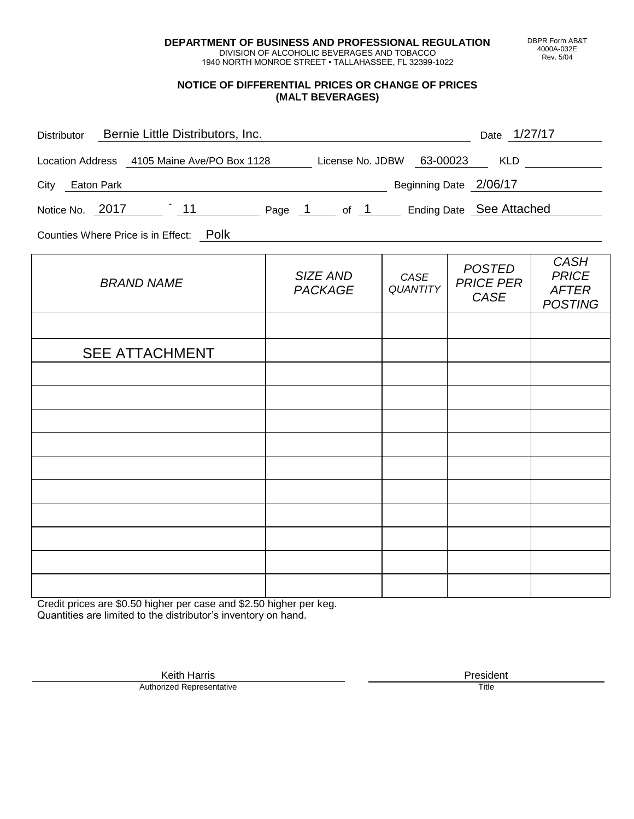**DEPARTMENT OF BUSINESS AND PROFESSIONAL REGULATION** DIVISION OF ALCOHOLIC BEVERAGES AND TOBACCO

1940 NORTH MONROE STREET • TALLAHASSEE, FL 32399-1022

## **NOTICE OF DIFFERENTIAL PRICES OR CHANGE OF PRICES (MALT BEVERAGES)**

| Bernie Little Distributors, Inc.<br><b>Distributor</b>                      | Date 1/27/17             |
|-----------------------------------------------------------------------------|--------------------------|
| 63-00023<br>License No. JDBW<br>Location Address 4105 Maine Ave/PO Box 1128 | <b>KLD</b>               |
| Beginning Date 2/06/17<br>Eaton Park<br>City                                |                          |
| $-11$<br>Notice No. 2017<br>Page 1 of 1                                     | Ending Date See Attached |
| Counties Where Price is in Effect: Polk                                     |                          |
|                                                                             | CASH                     |

| <b>BRAND NAME</b>     | SIZE AND<br><b>PACKAGE</b> | CASE<br>QUANTITY | <b>POSTED</b><br><b>PRICE PER</b><br>CASE | <b>CASH</b><br><b>PRICE</b><br><b>AFTER</b><br><b>POSTING</b> |
|-----------------------|----------------------------|------------------|-------------------------------------------|---------------------------------------------------------------|
|                       |                            |                  |                                           |                                                               |
| <b>SEE ATTACHMENT</b> |                            |                  |                                           |                                                               |
|                       |                            |                  |                                           |                                                               |
|                       |                            |                  |                                           |                                                               |
|                       |                            |                  |                                           |                                                               |
|                       |                            |                  |                                           |                                                               |
|                       |                            |                  |                                           |                                                               |
|                       |                            |                  |                                           |                                                               |
|                       |                            |                  |                                           |                                                               |
|                       |                            |                  |                                           |                                                               |
|                       |                            |                  |                                           |                                                               |
|                       |                            |                  |                                           |                                                               |

Credit prices are \$0.50 higher per case and \$2.50 higher per keg. Quantities are limited to the distributor's inventory on hand.

> Keith Harris **President** President **President** President **President** President **President** Authorized Representative

DBPR Form AB&T 4000A-032E Rev. 5/04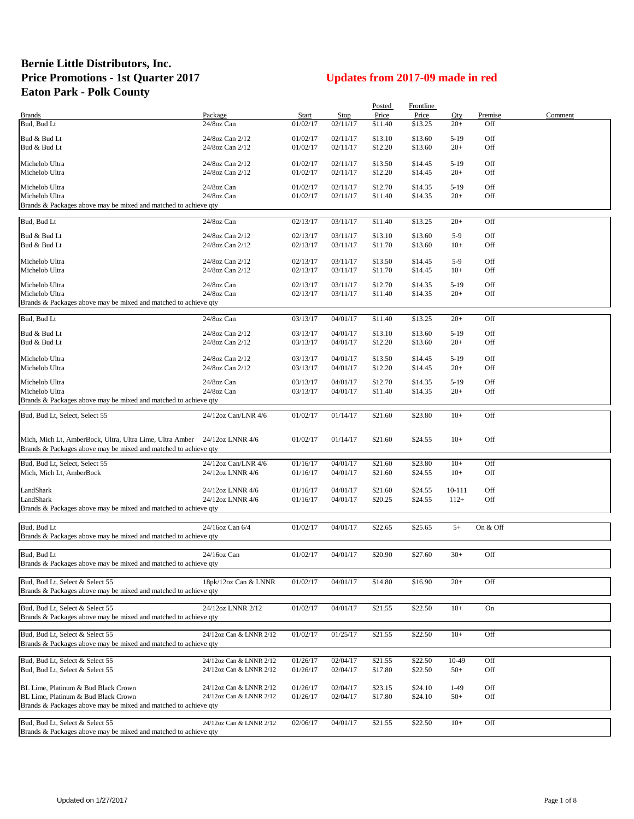## **Bernie Little Distributors, Inc. Price Promotions - 1st Quarter 2017 Updates from 2017-09 made in red Eaton Park - Polk County**

|                                                                           |                         |          |             | Posted  | <b>Frontline</b> |        |          |         |
|---------------------------------------------------------------------------|-------------------------|----------|-------------|---------|------------------|--------|----------|---------|
| <b>Brands</b>                                                             | Package                 | Start    | <b>Stop</b> | Price   | Price            | Qty    | Premise  | Comment |
| Bud, Bud Lt                                                               | 24/8oz Can              | 01/02/17 | 02/11/17    | \$11.40 | \$13.25          | $20+$  | Off      |         |
| Bud & Bud Lt                                                              | 24/8oz Can 2/12         | 01/02/17 | 02/11/17    | \$13.10 | \$13.60          | $5-19$ | Off      |         |
| Bud & Bud Lt                                                              | 24/8oz Can 2/12         | 01/02/17 | 02/11/17    | \$12.20 | \$13.60          | $20+$  | Off      |         |
|                                                                           |                         |          |             |         |                  |        |          |         |
| Michelob Ultra                                                            | 24/8oz Can 2/12         | 01/02/17 | 02/11/17    | \$13.50 | \$14.45          | $5-19$ | Off      |         |
| Michelob Ultra                                                            | 24/8oz Can 2/12         | 01/02/17 | 02/11/17    | \$12.20 | \$14.45          | $20+$  | Off      |         |
| Michelob Ultra                                                            | 24/8oz Can              | 01/02/17 | 02/11/17    | \$12.70 | \$14.35          | $5-19$ | Off      |         |
| Michelob Ultra                                                            | 24/8oz Can              | 01/02/17 | 02/11/17    | \$11.40 | \$14.35          | $20+$  | Off      |         |
| Brands & Packages above may be mixed and matched to achieve qty           |                         |          |             |         |                  |        |          |         |
|                                                                           |                         |          |             |         |                  |        |          |         |
| Bud, Bud Lt                                                               | 24/8oz Can              | 02/13/17 | 03/11/17    | \$11.40 | \$13.25          | $20+$  | Off      |         |
| Bud & Bud Lt                                                              | 24/8oz Can 2/12         | 02/13/17 | 03/11/17    | \$13.10 | \$13.60          | $5-9$  | Off      |         |
| Bud & Bud Lt                                                              | 24/8oz Can 2/12         | 02/13/17 | 03/11/17    | \$11.70 | \$13.60          | $10+$  | Off      |         |
|                                                                           |                         |          |             |         |                  |        |          |         |
| Michelob Ultra                                                            | 24/8oz Can 2/12         | 02/13/17 | 03/11/17    | \$13.50 | \$14.45          | $5-9$  | Off      |         |
| Michelob Ultra                                                            | 24/8oz Can 2/12         | 02/13/17 | 03/11/17    | \$11.70 | \$14.45          | $10+$  | Off      |         |
| Michelob Ultra                                                            | 24/8oz Can              | 02/13/17 | 03/11/17    | \$12.70 | \$14.35          | $5-19$ | Off      |         |
| Michelob Ultra                                                            | 24/8oz Can              | 02/13/17 | 03/11/17    | \$11.40 | \$14.35          | $20+$  | Off      |         |
| Brands & Packages above may be mixed and matched to achieve qty           |                         |          |             |         |                  |        |          |         |
|                                                                           |                         |          |             |         |                  |        |          |         |
| Bud, Bud Lt                                                               | 24/8oz Can              | 03/13/17 | 04/01/17    | \$11.40 | \$13.25          | $20+$  | Off      |         |
| Bud & Bud Lt                                                              | 24/8oz Can 2/12         | 03/13/17 | 04/01/17    | \$13.10 | \$13.60          | $5-19$ | Off      |         |
| Bud & Bud Lt                                                              | 24/8oz Can 2/12         | 03/13/17 | 04/01/17    | \$12.20 | \$13.60          | $20+$  | Off      |         |
|                                                                           |                         |          |             |         |                  |        |          |         |
| Michelob Ultra                                                            | 24/8oz Can 2/12         | 03/13/17 | 04/01/17    | \$13.50 | \$14.45          | $5-19$ | Off      |         |
| Michelob Ultra                                                            | 24/8oz Can 2/12         | 03/13/17 | 04/01/17    | \$12.20 | \$14.45          | $20+$  | Off      |         |
| Michelob Ultra                                                            | 24/8oz Can              | 03/13/17 | 04/01/17    | \$12.70 | \$14.35          | $5-19$ | Off      |         |
| Michelob Ultra                                                            | 24/8oz Can              | 03/13/17 | 04/01/17    | \$11.40 | \$14.35          | $20+$  | Off      |         |
| Brands & Packages above may be mixed and matched to achieve qty           |                         |          |             |         |                  |        |          |         |
| Bud, Bud Lt, Select, Select 55                                            | 24/12oz Can/LNR 4/6     | 01/02/17 | 01/14/17    | \$21.60 | \$23.80          | $10+$  | Off      |         |
|                                                                           |                         |          |             |         |                  |        |          |         |
|                                                                           |                         |          |             |         |                  |        |          |         |
| Mich, Mich Lt, AmberBock, Ultra, Ultra Lime, Ultra Amber 24/12oz LNNR 4/6 |                         | 01/02/17 | 01/14/17    | \$21.60 | \$24.55          | $10+$  | Off      |         |
| Brands & Packages above may be mixed and matched to achieve qty           |                         |          |             |         |                  |        |          |         |
| Bud, Bud Lt, Select, Select 55                                            | 24/12oz Can/LNR 4/6     | 01/16/17 | 04/01/17    | \$21.60 | \$23.80          | $10+$  | Off      |         |
| Mich, Mich Lt, AmberBock                                                  | 24/12oz LNNR 4/6        | 01/16/17 | 04/01/17    | \$21.60 | \$24.55          | $10+$  | Off      |         |
|                                                                           |                         |          |             |         |                  |        |          |         |
| LandShark                                                                 | 24/12oz LNNR 4/6        | 01/16/17 | 04/01/17    | \$21.60 | \$24.55          | 10-111 | Off      |         |
| LandShark                                                                 | 24/12oz LNNR 4/6        | 01/16/17 | 04/01/17    | \$20.25 | \$24.55          | $112+$ | Off      |         |
| Brands & Packages above may be mixed and matched to achieve qty           |                         |          |             |         |                  |        |          |         |
|                                                                           |                         |          |             |         |                  |        |          |         |
| Bud, Bud Lt                                                               | 24/16oz Can 6/4         | 01/02/17 | 04/01/17    | \$22.65 | \$25.65          | $5+$   | On & Off |         |
| Brands & Packages above may be mixed and matched to achieve qty           |                         |          |             |         |                  |        |          |         |
| Bud, Bud Lt                                                               | 24/16oz Can             | 01/02/17 | 04/01/17    | \$20.90 | \$27.60          | $30+$  | Off      |         |
| Brands & Packages above may be mixed and matched to achieve qty           |                         |          |             |         |                  |        |          |         |
|                                                                           |                         |          |             |         |                  |        |          |         |
| Bud, Bud Lt, Select & Select 55                                           | 18pk/12oz Can & LNNR    | 01/02/17 | 04/01/17    | \$14.80 | \$16.90          | $20+$  | Off      |         |
| Brands & Packages above may be mixed and matched to achieve qty           |                         |          |             |         |                  |        |          |         |
|                                                                           |                         |          |             |         |                  |        |          |         |
| Bud, Bud Lt, Select & Select 55                                           | 24/12oz LNNR 2/12       | 01/02/17 | 04/01/17    | \$21.55 | \$22.50          | $10+$  | On       |         |
| Brands & Packages above may be mixed and matched to achieve qty           |                         |          |             |         |                  |        |          |         |
| Bud, Bud Lt, Select & Select 55                                           | 24/12oz Can & LNNR 2/12 | 01/02/17 |             |         | \$22.50          | $10+$  | Off      |         |
| Brands & Packages above may be mixed and matched to achieve qty           |                         |          | 01/25/17    | \$21.55 |                  |        |          |         |
|                                                                           |                         |          |             |         |                  |        |          |         |
| Bud, Bud Lt, Select & Select 55                                           | 24/12oz Can & LNNR 2/12 | 01/26/17 | 02/04/17    | \$21.55 | \$22.50          | 10-49  | Off      |         |
| Bud, Bud Lt, Select & Select 55                                           | 24/12oz Can & LNNR 2/12 | 01/26/17 | 02/04/17    | \$17.80 | \$22.50          | $50+$  | Off      |         |
|                                                                           |                         |          |             |         |                  |        |          |         |
| BL Lime, Platinum & Bud Black Crown                                       | 24/12oz Can & LNNR 2/12 | 01/26/17 | 02/04/17    | \$23.15 | \$24.10          | $1-49$ | Off      |         |
| BL Lime, Platinum & Bud Black Crown                                       | 24/12oz Can & LNNR 2/12 | 01/26/17 | 02/04/17    | \$17.80 | \$24.10          | $50+$  | Off      |         |
| Brands & Packages above may be mixed and matched to achieve qty           |                         |          |             |         |                  |        |          |         |
| Bud, Bud Lt, Select & Select 55                                           | 24/12oz Can & LNNR 2/12 | 02/06/17 | 04/01/17    | \$21.55 | \$22.50          | $10+$  | Off      |         |
| Brands & Packages above may be mixed and matched to achieve qty           |                         |          |             |         |                  |        |          |         |
|                                                                           |                         |          |             |         |                  |        |          |         |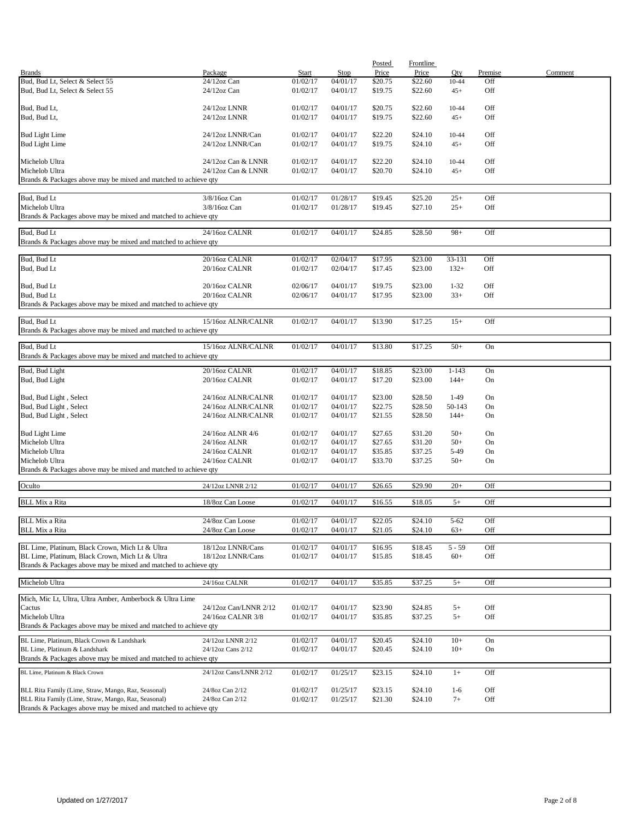|                                                                 |                        |          |             | Posted  | <b>Frontline</b> |           |         |         |
|-----------------------------------------------------------------|------------------------|----------|-------------|---------|------------------|-----------|---------|---------|
| <b>Brands</b>                                                   | Package                | Start    | <b>Stop</b> | Price   | Price            | Qty       | Premise | Comment |
| Bud, Bud Lt, Select & Select 55                                 | 24/12oz Can            | 01/02/17 | 04/01/17    | \$20.75 | \$22.60          | 10-44     | Off     |         |
| Bud, Bud Lt, Select & Select 55                                 | $24/12$ oz Can         | 01/02/17 | 04/01/17    | \$19.75 | \$22.60          | $45+$     | Off     |         |
|                                                                 |                        |          |             |         |                  |           |         |         |
| Bud, Bud Lt,                                                    | 24/12oz LNNR           | 01/02/17 | 04/01/17    | \$20.75 | \$22.60          | 10-44     | Off     |         |
| Bud, Bud Lt,                                                    | 24/12oz LNNR           | 01/02/17 | 04/01/17    | \$19.75 | \$22.60          | $45+$     | Off     |         |
|                                                                 |                        |          |             |         |                  |           |         |         |
| <b>Bud Light Lime</b>                                           | 24/12oz LNNR/Can       | 01/02/17 | 04/01/17    | \$22.20 | \$24.10          | 10-44     | Off     |         |
| <b>Bud Light Lime</b>                                           | 24/12oz LNNR/Can       | 01/02/17 | 04/01/17    | \$19.75 | \$24.10          | $45+$     | Off     |         |
|                                                                 |                        |          |             |         |                  |           |         |         |
| Michelob Ultra                                                  | 24/12oz Can & LNNR     | 01/02/17 | 04/01/17    | \$22.20 | \$24.10          | 10-44     | Off     |         |
| Michelob Ultra                                                  | 24/12oz Can & LNNR     | 01/02/17 | 04/01/17    | \$20.70 | \$24.10          | $45+$     | Off     |         |
| Brands & Packages above may be mixed and matched to achieve qty |                        |          |             |         |                  |           |         |         |
|                                                                 |                        |          |             |         |                  |           |         |         |
| Bud, Bud Lt                                                     | 3/8/16oz Can           | 01/02/17 | 01/28/17    | \$19.45 | \$25.20          | $25+$     | Off     |         |
| Michelob Ultra                                                  | 3/8/16oz Can           | 01/02/17 | 01/28/17    | \$19.45 | \$27.10          | $25+$     | Off     |         |
| Brands & Packages above may be mixed and matched to achieve qty |                        |          |             |         |                  |           |         |         |
|                                                                 |                        |          |             |         |                  |           |         |         |
| Bud, Bud Lt                                                     | 24/16oz CALNR          | 01/02/17 | 04/01/17    | \$24.85 | \$28.50          | $98+$     | Off     |         |
| Brands & Packages above may be mixed and matched to achieve qty |                        |          |             |         |                  |           |         |         |
|                                                                 |                        |          |             |         |                  |           |         |         |
| Bud, Bud Lt                                                     | 20/16oz CALNR          | 01/02/17 | 02/04/17    | \$17.95 | \$23.00          | 33-131    | Off     |         |
| Bud, Bud Lt                                                     | 20/16oz CALNR          | 01/02/17 | 02/04/17    | \$17.45 | \$23.00          | $132+$    | Off     |         |
|                                                                 |                        |          |             |         |                  |           |         |         |
| Bud, Bud Lt                                                     | 20/16oz CALNR          | 02/06/17 | 04/01/17    | \$19.75 | \$23.00          | $1 - 32$  | Off     |         |
| Bud, Bud Lt                                                     | 20/16oz CALNR          | 02/06/17 | 04/01/17    | \$17.95 | \$23.00          | $33+$     | Off     |         |
| Brands & Packages above may be mixed and matched to achieve qty |                        |          |             |         |                  |           |         |         |
|                                                                 |                        |          |             |         |                  |           |         |         |
| Bud, Bud Lt                                                     | 15/16oz ALNR/CALNR     | 01/02/17 | 04/01/17    | \$13.90 | \$17.25          | $15+$     | Off     |         |
| Brands & Packages above may be mixed and matched to achieve qty |                        |          |             |         |                  |           |         |         |
|                                                                 |                        |          |             |         |                  |           |         |         |
| Bud, Bud Lt                                                     | 15/16oz ALNR/CALNR     | 01/02/17 | 04/01/17    | \$13.80 | \$17.25          | $50+$     | On      |         |
| Brands & Packages above may be mixed and matched to achieve qty |                        |          |             |         |                  |           |         |         |
| Bud, Bud Light                                                  | 20/16oz CALNR          | 01/02/17 | 04/01/17    | \$18.85 | \$23.00          | $1 - 143$ | On      |         |
| Bud, Bud Light                                                  | 20/16oz CALNR          | 01/02/17 | 04/01/17    | \$17.20 | \$23.00          | $144+$    | On      |         |
|                                                                 |                        |          |             |         |                  |           |         |         |
| Bud, Bud Light, Select                                          | 24/16oz ALNR/CALNR     | 01/02/17 | 04/01/17    | \$23.00 | \$28.50          | $1-49$    | On      |         |
| Bud, Bud Light, Select                                          | 24/16oz ALNR/CALNR     | 01/02/17 | 04/01/17    | \$22.75 | \$28.50          | 50-143    | On      |         |
| Bud, Bud Light, Select                                          | 24/16oz ALNR/CALNR     | 01/02/17 | 04/01/17    | \$21.55 | \$28.50          | $144+$    | On      |         |
|                                                                 |                        |          |             |         |                  |           |         |         |
| <b>Bud Light Lime</b>                                           | 24/16oz ALNR 4/6       | 01/02/17 | 04/01/17    | \$27.65 | \$31.20          | $50+$     | On      |         |
| Michelob Ultra                                                  | 24/16oz ALNR           | 01/02/17 | 04/01/17    | \$27.65 | \$31.20          | $50+$     | On      |         |
| Michelob Ultra                                                  | 24/16oz CALNR          | 01/02/17 | 04/01/17    | \$35.85 | \$37.25          | 5-49      | On      |         |
| Michelob Ultra                                                  | 24/16oz CALNR          | 01/02/17 | 04/01/17    | \$33.70 | \$37.25          | $50+$     | On      |         |
| Brands & Packages above may be mixed and matched to achieve qty |                        |          |             |         |                  |           |         |         |
|                                                                 |                        |          |             |         |                  |           |         |         |
| Oculto                                                          | 24/12oz LNNR 2/12      | 01/02/17 | 04/01/17    | \$26.65 | \$29.90          | $20+$     | Off     |         |
|                                                                 |                        |          |             |         |                  |           |         |         |
| <b>BLL Mix a Rita</b>                                           | 18/8oz Can Loose       | 01/02/17 | 04/01/17    | \$16.55 | \$18.05          | $5+$      | Off     |         |
|                                                                 |                        |          |             |         |                  |           |         |         |
| <b>BLL Mix a Rita</b>                                           | 24/8oz Can Loose       | 01/02/17 | 04/01/17    | \$22.05 | \$24.10          | $5 - 62$  | Off     |         |
| <b>BLL Mix a Rita</b>                                           | 24/8oz Can Loose       | 01/02/17 | 04/01/17    | \$21.05 | \$24.10          | $63+$     | Off     |         |
|                                                                 |                        |          |             |         |                  |           |         |         |
| BL Lime, Platinum, Black Crown, Mich Lt & Ultra                 | 18/12oz LNNR/Cans      | 01/02/17 | 04/01/17    | \$16.95 | \$18.45          | $5 - 59$  | Off     |         |
| BL Lime, Platinum, Black Crown, Mich Lt & Ultra                 | 18/12oz LNNR/Cans      | 01/02/17 | 04/01/17    | \$15.85 | \$18.45          | $60+$     | Off     |         |
| Brands & Packages above may be mixed and matched to achieve qty |                        |          |             |         |                  |           |         |         |
|                                                                 |                        |          |             |         |                  |           |         |         |
| Michelob Ultra                                                  | 24/16oz CALNR          | 01/02/17 | 04/01/17    | \$35.85 | \$37.25          | $5+$      | Off     |         |
|                                                                 |                        |          |             |         |                  |           |         |         |
| Mich, Mic Lt, Ultra, Ultra Amber, Amberbock & Ultra Lime        |                        |          |             |         |                  |           |         |         |
| Cactus                                                          | 24/12oz Can/LNNR 2/12  | 01/02/17 | 04/01/17    | \$23.90 | \$24.85          | $5+$      | Off     |         |
| Michelob Ultra                                                  | 24/16oz CALNR 3/8      | 01/02/17 | 04/01/17    | \$35.85 | \$37.25          | $5+$      | Off     |         |
| Brands & Packages above may be mixed and matched to achieve qty |                        |          |             |         |                  |           |         |         |
|                                                                 |                        |          |             |         |                  |           |         |         |
| BL Lime, Platinum, Black Crown & Landshark                      | 24/12oz LNNR 2/12      | 01/02/17 | 04/01/17    | \$20.45 | \$24.10          | $10+$     | On      |         |
| BL Lime, Platinum & Landshark                                   | 24/12oz Cans 2/12      | 01/02/17 | 04/01/17    | \$20.45 | \$24.10          | $10+$     | On      |         |
| Brands & Packages above may be mixed and matched to achieve qty |                        |          |             |         |                  |           |         |         |
| BL Lime, Platinum & Black Crown                                 | 24/12oz Cans/LNNR 2/12 | 01/02/17 | 01/25/17    | \$23.15 | \$24.10          | $1+$      | Off     |         |
|                                                                 |                        |          |             |         |                  |           |         |         |
| BLL Rita Family (Lime, Straw, Mango, Raz, Seasonal)             | 24/8oz Can 2/12        | 01/02/17 | 01/25/17    | \$23.15 | \$24.10          | $1 - 6$   | Off     |         |
| BLL Rita Family (Lime, Straw, Mango, Raz, Seasonal)             | 24/8oz Can 2/12        | 01/02/17 | 01/25/17    | \$21.30 | \$24.10          | $7+$      | Off     |         |
| Brands & Packages above may be mixed and matched to achieve qty |                        |          |             |         |                  |           |         |         |
|                                                                 |                        |          |             |         |                  |           |         |         |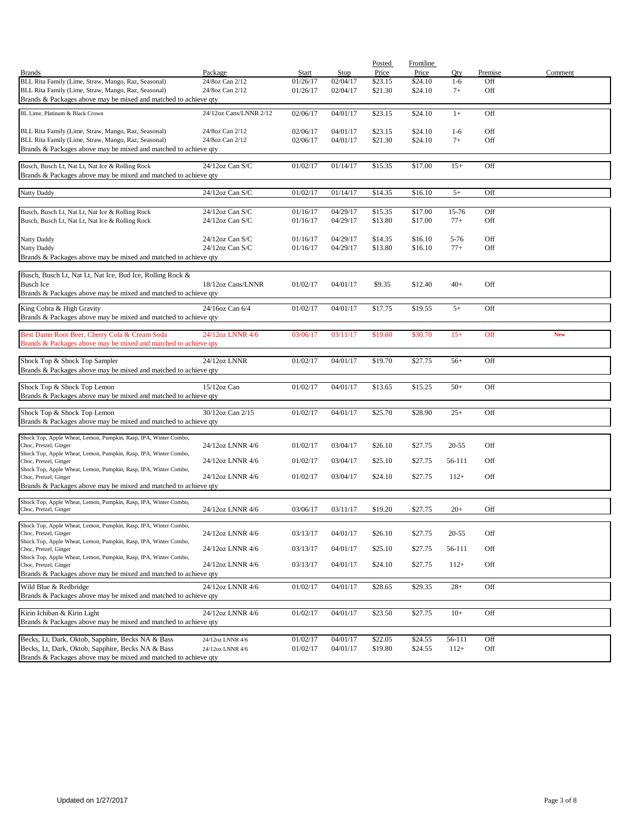| <b>Brands</b>                                                                                          | Package                | <b>Start</b> | Stop     | Posted<br>Price | Frontline<br>Price | Qty       | Premise    | Comment    |
|--------------------------------------------------------------------------------------------------------|------------------------|--------------|----------|-----------------|--------------------|-----------|------------|------------|
| BLL Rita Family (Lime, Straw, Mango, Raz, Seasonal)                                                    | 24/8oz Can 2/12        | 01/26/17     | 02/04/17 | \$23.15         | \$24.10            | $1-6$     | Off        |            |
| BLL Rita Family (Lime, Straw, Mango, Raz, Seasonal)                                                    | 24/8oz Can 2/12        | 01/26/17     | 02/04/17 | \$21.30         | \$24.10            | $7+$      | Off        |            |
| Brands & Packages above may be mixed and matched to achieve qty                                        |                        |              |          |                 |                    |           |            |            |
| BL Lime, Platinum & Black Crown                                                                        | 24/12oz Cans/LNNR 2/12 | 02/06/17     | 04/01/17 | \$23.15         | \$24.10            | $1+$      | Off        |            |
|                                                                                                        |                        |              |          |                 |                    |           |            |            |
| BLL Rita Family (Lime, Straw, Mango, Raz, Seasonal)                                                    | 24/8oz Can 2/12        | 02/06/17     | 04/01/17 | \$23.15         | \$24.10            | $1-6$     | Off        |            |
| BLL Rita Family (Lime, Straw, Mango, Raz, Seasonal)                                                    | 24/8oz Can 2/12        | 02/06/17     | 04/01/17 | \$21.30         | \$24.10            | $7+$      | Off        |            |
| Brands & Packages above may be mixed and matched to achieve qty                                        |                        |              |          |                 |                    |           |            |            |
|                                                                                                        |                        |              |          |                 |                    |           |            |            |
| Busch, Busch Lt, Nat Lt, Nat Ice & Rolling Rock                                                        | $24/12$ oz Can S/C     | 01/02/17     | 01/14/17 | \$15.35         | \$17.00            | $15+$     | Off        |            |
| Brands & Packages above may be mixed and matched to achieve qty                                        |                        |              |          |                 |                    |           |            |            |
| <b>Natty Daddy</b>                                                                                     | 24/12oz Can S/C        | 01/02/17     | 01/14/17 | \$14.35         | \$16.10            | $5+$      | Off        |            |
|                                                                                                        |                        |              |          |                 |                    |           |            |            |
| Busch, Busch Lt, Nat Lt, Nat Ice & Rolling Rock                                                        | 24/12oz Can S/C        | 01/16/17     | 04/29/17 | \$15.35         | \$17.00            | 15-76     | Off        |            |
| Busch, Busch Lt, Nat Lt, Nat Ice & Rolling Rock                                                        | $24/12$ oz Can S/C     | 01/16/17     | 04/29/17 | \$13.80         | \$17.00            | $77+$     | Off        |            |
|                                                                                                        |                        |              |          |                 |                    |           |            |            |
| <b>Natty Daddy</b>                                                                                     | $24/12$ oz Can S/C     | 01/16/17     | 04/29/17 | \$14.35         | \$16.10            | $5 - 76$  | Off        |            |
| Natty Daddy                                                                                            | 24/12oz Can S/C        | 01/16/17     | 04/29/17 | \$13.80         | \$16.10            | $77+$     | Off        |            |
| Brands & Packages above may be mixed and matched to achieve qty                                        |                        |              |          |                 |                    |           |            |            |
|                                                                                                        |                        |              |          |                 |                    |           |            |            |
| Busch, Busch Lt, Nat Lt, Nat Ice, Bud Ice, Rolling Rock &                                              |                        |              |          |                 |                    |           |            |            |
| <b>Busch Ice</b>                                                                                       | 18/12oz Cans/LNNR      | 01/02/17     | 04/01/17 | \$9.35          | \$12.40            | $40+$     | Off        |            |
| Brands & Packages above may be mixed and matched to achieve qty                                        |                        |              |          |                 |                    |           |            |            |
| King Cobra & High Gravity                                                                              | 24/16oz Can 6/4        | 01/02/17     | 04/01/17 | \$17.75         | \$19.55            | $5+$      | Off        |            |
| Brands & Packages above may be mixed and matched to achieve qty                                        |                        |              |          |                 |                    |           |            |            |
|                                                                                                        |                        |              |          |                 |                    |           |            |            |
| Best Damn Root Beer, Cherry Cola & Cream Soda                                                          | 24/12oz LNNR 4/6       | 03/06/17     | 03/11/17 | \$19.60         | \$30.70            | $15+$     | Off        | <b>New</b> |
| Brands & Packages above may be mixed and matched to achieve qty                                        |                        |              |          |                 |                    |           |            |            |
|                                                                                                        | 24/12oz LNNR           | 01/02/17     | 04/01/17 | \$19.70         | \$27.75            | $56+$     | Off        |            |
| Shock Top & Shock Top Sampler<br>Brands & Packages above may be mixed and matched to achieve qty       |                        |              |          |                 |                    |           |            |            |
|                                                                                                        |                        |              |          |                 |                    |           |            |            |
| Shock Top & Shock Top Lemon                                                                            | $15/12$ oz Can         | 01/02/17     | 04/01/17 | \$13.65         | \$15.25            | $50+$     | Off        |            |
| Brands & Packages above may be mixed and matched to achieve qty                                        |                        |              |          |                 |                    |           |            |            |
|                                                                                                        |                        |              |          |                 |                    |           |            |            |
| Shock Top & Shock Top Lemon                                                                            | 30/12oz Can 2/15       | 01/02/17     | 04/01/17 | \$25.70         | \$28.90            | $25+$     | Off        |            |
| Brands & Packages above may be mixed and matched to achieve qty                                        |                        |              |          |                 |                    |           |            |            |
| Shock Top, Apple Wheat, Lemon, Pumpkin, Rasp, IPA, Winter Combo,                                       |                        |              |          |                 |                    |           |            |            |
| Choc, Pretzel, Ginger                                                                                  | 24/12oz LNNR 4/6       | 01/02/17     | 03/04/17 | \$26.10         | \$27.75            | $20 - 55$ | Off        |            |
| Shock Top, Apple Wheat, Lemon, Pumpkin, Rasp, IPA, Winter Combo,                                       |                        |              |          |                 |                    |           |            |            |
| Choc, Pretzel, Ginger                                                                                  | 24/12oz LNNR 4/6       | 01/02/17     | 03/04/17 | \$25.10         | \$27.75            | 56-111    | Off        |            |
| Shock Top, Apple Wheat, Lemon, Pumpkin, Rasp, IPA, Winter Combo,<br>Choc, Pretzel, Ginger              | 24/12oz LNNR 4/6       | 01/02/17     | 03/04/17 | \$24.10         | \$27.75            | $112+$    | Off        |            |
| Brands & Packages above may be mixed and matched to achieve qty                                        |                        |              |          |                 |                    |           |            |            |
|                                                                                                        |                        |              |          |                 |                    |           |            |            |
| Shock Top, Apple Wheat, Lemon, Pumpkin, Rasp, IPA, Winter Combo,                                       |                        |              |          |                 |                    |           | Off        |            |
| Choc, Pretzel, Ginger                                                                                  | 24/12oz LNNR 4/6       | 03/06/17     | 03/11/17 | \$19.20         | \$27.75            | $20+$     |            |            |
| Shock Top, Apple Wheat, Lemon, Pumpkin, Rasp, IPA, Winter Combo,                                       |                        |              |          |                 |                    |           |            |            |
| Choc, Pretzel, Ginger                                                                                  | 24/12oz LNNR 4/6       | 03/13/17     | 04/01/17 | \$26.10         | \$27.75            | $20 - 55$ | Off        |            |
| Shock Top, Apple Wheat, Lemon, Pumpkin, Rasp, IPA, Winter Combo,                                       |                        |              |          |                 |                    |           |            |            |
| Choc, Pretzel, Ginger<br>Shock Top, Apple Wheat, Lemon, Pumpkin, Rasp, IPA, Winter Combo,              | 24/12oz LNNR 4/6       | 03/13/17     | 04/01/17 | \$25.10         | \$27.75            | 56-111    | Off        |            |
| Choc, Pretzel, Ginger                                                                                  | 24/12oz LNNR 4/6       | 03/13/17     | 04/01/17 | \$24.10         | \$27.75            | $112+$    | Off        |            |
| Brands & Packages above may be mixed and matched to achieve qty                                        |                        |              |          |                 |                    |           |            |            |
| Wild Blue & Redbridge                                                                                  | 24/12oz LNNR 4/6       | 01/02/17     | 04/01/17 | \$28.65         | \$29.35            | $28+$     | Off        |            |
| Brands & Packages above may be mixed and matched to achieve qty                                        |                        |              |          |                 |                    |           |            |            |
|                                                                                                        |                        |              |          |                 |                    |           |            |            |
| Kirin Ichiban & Kirin Light                                                                            | 24/12oz LNNR 4/6       | 01/02/17     | 04/01/17 | \$23.50         | \$27.75            | $10+$     | Off        |            |
| Brands & Packages above may be mixed and matched to achieve qty                                        |                        |              |          |                 |                    |           |            |            |
|                                                                                                        |                        |              |          |                 |                    |           |            |            |
| Becks, Lt, Dark, Oktob, Sapphire, Becks NA & Bass<br>Becks, Lt, Dark, Oktob, Sapphire, Becks NA & Bass | 24/12oz LNNR 4/6       | 01/02/17     | 04/01/17 | \$22.05         | \$24.55            | 56-111    | Off<br>Off |            |
| Brands & Packages above may be mixed and matched to achieve qty                                        | 24/12oz LNNR 4/6       | 01/02/17     | 04/01/17 | \$19.80         | \$24.55            | $112+$    |            |            |
|                                                                                                        |                        |              |          |                 |                    |           |            |            |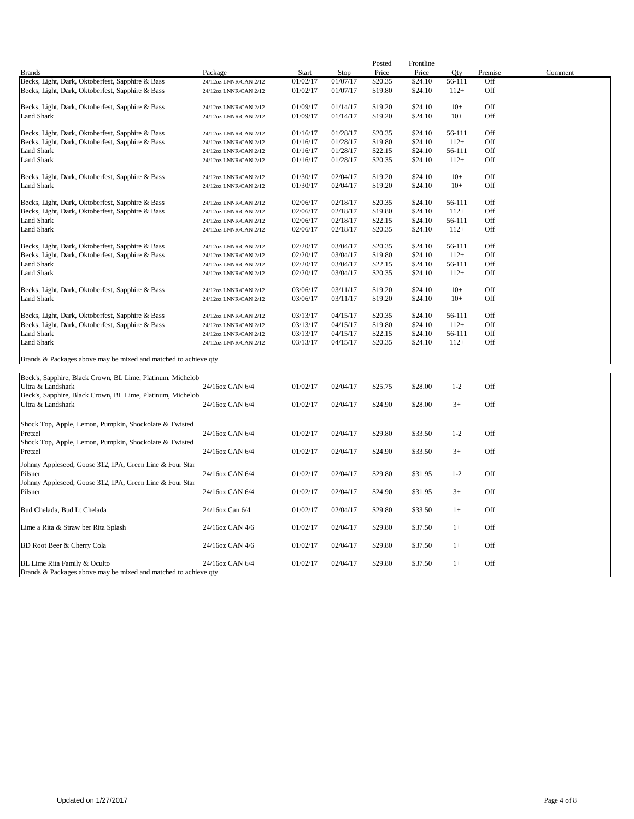|                                                                                 |                       |              |          | Posted  | Frontline |         |         |         |
|---------------------------------------------------------------------------------|-----------------------|--------------|----------|---------|-----------|---------|---------|---------|
| <b>Brands</b>                                                                   | Package               | <b>Start</b> | Stop     | Price   | Price     | Oty     | Premise | Comment |
| Becks, Light, Dark, Oktoberfest, Sapphire & Bass                                | 24/12oz LNNR/CAN 2/12 | 01/02/17     | 01/07/17 | \$20.35 | \$24.10   | 56-111  | Off     |         |
| Becks, Light, Dark, Oktoberfest, Sapphire & Bass                                | 24/12oz LNNR/CAN 2/12 | 01/02/17     | 01/07/17 | \$19.80 | \$24.10   | $112+$  | Off     |         |
| Becks, Light, Dark, Oktoberfest, Sapphire & Bass                                | 24/12oz LNNR/CAN 2/12 | 01/09/17     | 01/14/17 | \$19.20 | \$24.10   | $10+$   | Off     |         |
| Land Shark                                                                      | 24/12oz LNNR/CAN 2/12 | 01/09/17     | 01/14/17 | \$19.20 | \$24.10   | $10+$   | Off     |         |
| Becks, Light, Dark, Oktoberfest, Sapphire & Bass                                | 24/12oz LNNR/CAN 2/12 | 01/16/17     | 01/28/17 | \$20.35 | \$24.10   | 56-111  | Off     |         |
| Becks, Light, Dark, Oktoberfest, Sapphire & Bass                                | 24/12oz LNNR/CAN 2/12 | 01/16/17     | 01/28/17 | \$19.80 | \$24.10   | $112+$  | Off     |         |
| <b>Land Shark</b>                                                               | 24/12oz LNNR/CAN 2/12 | 01/16/17     | 01/28/17 | \$22.15 | \$24.10   | 56-111  | Off     |         |
| Land Shark                                                                      | 24/12oz LNNR/CAN 2/12 | 01/16/17     | 01/28/17 | \$20.35 | \$24.10   | $112+$  | Off     |         |
| Becks, Light, Dark, Oktoberfest, Sapphire & Bass                                | 24/12oz LNNR/CAN 2/12 | 01/30/17     | 02/04/17 | \$19.20 | \$24.10   | $10+$   | Off     |         |
| Land Shark                                                                      | 24/12oz LNNR/CAN 2/12 | 01/30/17     | 02/04/17 | \$19.20 | \$24.10   | $10+$   | Off     |         |
| Becks, Light, Dark, Oktoberfest, Sapphire & Bass                                | 24/12oz LNNR/CAN 2/12 | 02/06/17     | 02/18/17 | \$20.35 | \$24.10   | 56-111  | Off     |         |
| Becks, Light, Dark, Oktoberfest, Sapphire & Bass                                | 24/12oz LNNR/CAN 2/12 | 02/06/17     | 02/18/17 | \$19.80 | \$24.10   | $112+$  | Off     |         |
| <b>Land Shark</b>                                                               | 24/12oz LNNR/CAN 2/12 | 02/06/17     | 02/18/17 | \$22.15 | \$24.10   | 56-111  | Off     |         |
| <b>Land Shark</b>                                                               | 24/12oz LNNR/CAN 2/12 | 02/06/17     | 02/18/17 | \$20.35 | \$24.10   | $112+$  | Off     |         |
| Becks, Light, Dark, Oktoberfest, Sapphire & Bass                                | 24/12oz LNNR/CAN 2/12 | 02/20/17     | 03/04/17 | \$20.35 | \$24.10   | 56-111  | Off     |         |
| Becks, Light, Dark, Oktoberfest, Sapphire & Bass                                | 24/12oz LNNR/CAN 2/12 | 02/20/17     | 03/04/17 | \$19.80 | \$24.10   | $112+$  | Off     |         |
| <b>Land Shark</b>                                                               | 24/12oz LNNR/CAN 2/12 | 02/20/17     | 03/04/17 | \$22.15 | \$24.10   | 56-111  | Off     |         |
| <b>Land Shark</b>                                                               | 24/12oz LNNR/CAN 2/12 | 02/20/17     | 03/04/17 | \$20.35 | \$24.10   | $112+$  | Off     |         |
| Becks, Light, Dark, Oktoberfest, Sapphire & Bass                                | 24/12oz LNNR/CAN 2/12 | 03/06/17     | 03/11/17 | \$19.20 | \$24.10   | $10+$   | Off     |         |
| <b>Land Shark</b>                                                               | 24/12oz LNNR/CAN 2/12 | 03/06/17     | 03/11/17 | \$19.20 | \$24.10   | $10+$   | Off     |         |
| Becks, Light, Dark, Oktoberfest, Sapphire & Bass                                | 24/12oz LNNR/CAN 2/12 | 03/13/17     | 04/15/17 | \$20.35 | \$24.10   | 56-111  | Off     |         |
| Becks, Light, Dark, Oktoberfest, Sapphire & Bass                                | 24/12oz LNNR/CAN 2/12 | 03/13/17     | 04/15/17 | \$19.80 | \$24.10   | $112+$  | Off     |         |
| <b>Land Shark</b>                                                               | 24/12oz LNNR/CAN 2/12 | 03/13/17     | 04/15/17 | \$22.15 | \$24.10   | 56-111  | Off     |         |
| <b>Land Shark</b>                                                               | 24/12oz LNNR/CAN 2/12 | 03/13/17     | 04/15/17 | \$20.35 | \$24.10   | $112+$  | Off     |         |
| Brands & Packages above may be mixed and matched to achieve qty                 |                       |              |          |         |           |         |         |         |
|                                                                                 |                       |              |          |         |           |         |         |         |
| Beck's, Sapphire, Black Crown, BL Lime, Platinum, Michelob<br>Ultra & Landshark | 24/16oz CAN 6/4       | 01/02/17     | 02/04/17 | \$25.75 | \$28.00   | $1 - 2$ | Off     |         |
| Beck's, Sapphire, Black Crown, BL Lime, Platinum, Michelob<br>Ultra & Landshark | 24/16oz CAN 6/4       | 01/02/17     | 02/04/17 | \$24.90 | \$28.00   | $3+$    | Off     |         |
|                                                                                 |                       |              |          |         |           |         |         |         |
| Shock Top, Apple, Lemon, Pumpkin, Shockolate & Twisted                          |                       |              |          |         |           |         |         |         |
| Pretzel                                                                         | 24/16oz CAN 6/4       | 01/02/17     | 02/04/17 | \$29.80 | \$33.50   | $1 - 2$ | Off     |         |
| Shock Top, Apple, Lemon, Pumpkin, Shockolate & Twisted<br>Pretzel               | 24/16oz CAN 6/4       | 01/02/17     | 02/04/17 | \$24.90 | \$33.50   | $3+$    | Off     |         |
| Johnny Appleseed, Goose 312, IPA, Green Line & Four Star                        |                       |              |          |         |           |         |         |         |
| Pilsner                                                                         | 24/16oz CAN 6/4       | 01/02/17     | 02/04/17 | \$29.80 | \$31.95   | $1 - 2$ | Off     |         |
| Johnny Appleseed, Goose 312, IPA, Green Line & Four Star                        |                       |              |          |         |           |         |         |         |
| Pilsner                                                                         | 24/16oz CAN 6/4       | 01/02/17     | 02/04/17 | \$24.90 | \$31.95   | $3+$    | Off     |         |

Bud Chelada, Bud Lt Chelada 24/16oz Can 6/4 01/02/17 02/04/17 \$29.80 \$33.50 1+ Off Lime a Rita & Straw ber Rita Splash 24/16oz CAN 4/6 01/02/17 02/04/17 \$29.80 \$37.50 1+ Off BD Root Beer & Cherry Cola 24/16oz CAN 4/6 01/02/17 02/04/17 \$29.80 \$37.50 1+ Off BL Lime Rita Family & Oculto 24/16oz CAN 6/4 01/02/17 02/04/17 \$29.80 \$37.50 1+ Off

Brands & Packages above may be mixed and matched to achieve qty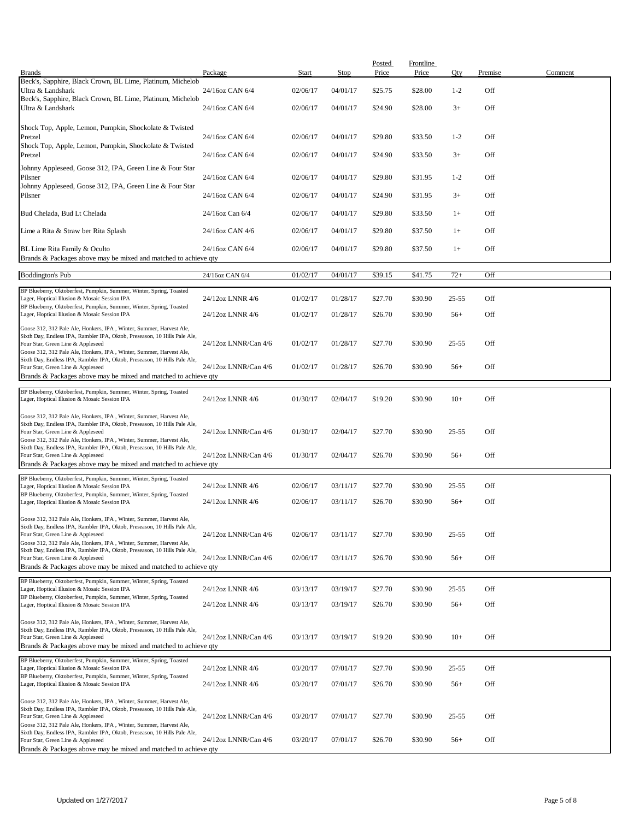|                                                                                                                                                                                       |                      |          |          | Posted  | <b>Frontline</b> |           |         |         |
|---------------------------------------------------------------------------------------------------------------------------------------------------------------------------------------|----------------------|----------|----------|---------|------------------|-----------|---------|---------|
| <b>Brands</b>                                                                                                                                                                         | Package              | Start    | Stop     | Price   | Price            | Qty       | Premise | Comment |
| Beck's, Sapphire, Black Crown, BL Lime, Platinum, Michelob<br>Ultra & Landshark                                                                                                       | 24/16oz CAN 6/4      | 02/06/17 | 04/01/17 | \$25.75 | \$28.00          | $1 - 2$   | Off     |         |
| Beck's, Sapphire, Black Crown, BL Lime, Platinum, Michelob<br>Ultra & Landshark                                                                                                       | 24/16oz CAN 6/4      | 02/06/17 | 04/01/17 | \$24.90 | \$28.00          | $3+$      | Off     |         |
| Shock Top, Apple, Lemon, Pumpkin, Shockolate & Twisted<br>Pretzel                                                                                                                     | 24/16oz CAN 6/4      | 02/06/17 | 04/01/17 | \$29.80 | \$33.50          | $1 - 2$   | Off     |         |
| Shock Top, Apple, Lemon, Pumpkin, Shockolate & Twisted<br>Pretzel                                                                                                                     | 24/16oz CAN 6/4      | 02/06/17 | 04/01/17 | \$24.90 | \$33.50          | $3+$      | Off     |         |
| Johnny Appleseed, Goose 312, IPA, Green Line & Four Star                                                                                                                              |                      |          |          |         |                  |           |         |         |
| Pilsner<br>Johnny Appleseed, Goose 312, IPA, Green Line & Four Star                                                                                                                   | 24/16oz CAN 6/4      | 02/06/17 | 04/01/17 | \$29.80 | \$31.95          | $1 - 2$   | Off     |         |
| Pilsner                                                                                                                                                                               | 24/16oz CAN 6/4      | 02/06/17 | 04/01/17 | \$24.90 | \$31.95          | $3+$      | Off     |         |
| Bud Chelada, Bud Lt Chelada                                                                                                                                                           | 24/16oz Can 6/4      | 02/06/17 | 04/01/17 | \$29.80 | \$33.50          | $1+$      | Off     |         |
| Lime a Rita & Straw ber Rita Splash                                                                                                                                                   | 24/16oz CAN 4/6      | 02/06/17 | 04/01/17 | \$29.80 | \$37.50          | $1+$      | Off     |         |
| BL Lime Rita Family & Oculto<br>Brands & Packages above may be mixed and matched to achieve qty                                                                                       | 24/16oz CAN 6/4      | 02/06/17 | 04/01/17 | \$29.80 | \$37.50          | $1+$      | Off     |         |
| <b>Boddington's Pub</b>                                                                                                                                                               | 24/16oz CAN 6/4      | 01/02/17 | 04/01/17 | \$39.15 | \$41.75          | $72+$     | Off     |         |
| BP Blueberry, Oktoberfest, Pumpkin, Summer, Winter, Spring, Toasted                                                                                                                   |                      |          |          |         |                  |           |         |         |
| Lager, Hoptical Illusion & Mosaic Session IPA<br>BP Blueberry, Oktoberfest, Pumpkin, Summer, Winter, Spring, Toasted                                                                  | 24/12oz LNNR 4/6     | 01/02/17 | 01/28/17 | \$27.70 | \$30.90          | $25 - 55$ | Off     |         |
| Lager, Hoptical Illusion & Mosaic Session IPA<br>Goose 312, 312 Pale Ale, Honkers, IPA, Winter, Summer, Harvest Ale,                                                                  | 24/12oz LNNR 4/6     | 01/02/17 | 01/28/17 | \$26.70 | \$30.90          | $56+$     | Off     |         |
| Sixth Day, Endless IPA, Rambler IPA, Oktob, Preseason, 10 Hills Pale Ale,<br>Four Star, Green Line & Appleseed                                                                        | 24/12oz LNNR/Can 4/6 | 01/02/17 | 01/28/17 | \$27.70 | \$30.90          | $25 - 55$ | Off     |         |
| Goose 312, 312 Pale Ale, Honkers, IPA, Winter, Summer, Harvest Ale,<br>Sixth Day, Endless IPA, Rambler IPA, Oktob, Preseason, 10 Hills Pale Ale,<br>Four Star, Green Line & Appleseed | 24/12oz LNNR/Can 4/6 | 01/02/17 | 01/28/17 | \$26.70 | \$30.90          | $56+$     | Off     |         |
| Brands & Packages above may be mixed and matched to achieve qty                                                                                                                       |                      |          |          |         |                  |           |         |         |
| BP Blueberry, Oktoberfest, Pumpkin, Summer, Winter, Spring, Toasted<br>Lager, Hoptical Illusion & Mosaic Session IPA                                                                  | 24/12oz LNNR 4/6     | 01/30/17 | 02/04/17 | \$19.20 | \$30.90          | $10+$     | Off     |         |
| Goose 312, 312 Pale Ale, Honkers, IPA, Winter, Summer, Harvest Ale,<br>Sixth Day, Endless IPA, Rambler IPA, Oktob, Preseason, 10 Hills Pale Ale,                                      |                      |          |          |         |                  |           |         |         |
| Four Star, Green Line & Appleseed<br>Goose 312, 312 Pale Ale, Honkers, IPA, Winter, Summer, Harvest Ale,                                                                              | 24/12oz LNNR/Can 4/6 | 01/30/17 | 02/04/17 | \$27.70 | \$30.90          | $25 - 55$ | Off     |         |
| Sixth Day, Endless IPA, Rambler IPA, Oktob, Preseason, 10 Hills Pale Ale,<br>Four Star, Green Line & Appleseed<br>Brands & Packages above may be mixed and matched to achieve qty     | 24/12oz LNNR/Can 4/6 | 01/30/17 | 02/04/17 | \$26.70 | \$30.90          | $56+$     | Off     |         |
| BP Blueberry, Oktoberfest, Pumpkin, Summer, Winter, Spring, Toasted<br>Lager, Hoptical Illusion & Mosaic Session IPA                                                                  | 24/12oz LNNR 4/6     | 02/06/17 | 03/11/17 | \$27.70 | \$30.90          | 25-55     | Off     |         |
| BP Blueberry, Oktoberfest, Pumpkin, Summer, Winter, Spring, Toasted<br>Lager, Hoptical Illusion & Mosaic Session IPA                                                                  | 24/12oz LNNR 4/6     | 02/06/17 | 03/11/17 | \$26.70 | \$30.90          | $56+$     | Off     |         |
| Goose 312, 312 Pale Ale, Honkers, IPA, Winter, Summer, Harvest Ale,                                                                                                                   |                      |          |          |         |                  |           |         |         |
| Sixth Day, Endless IPA, Rambler IPA, Oktob, Preseason, 10 Hills Pale Ale,<br>Four Star, Green Line & Appleseed                                                                        | 24/12oz LNNR/Can 4/6 | 02/06/17 | 03/11/17 | \$27.70 | \$30.90          | $25 - 55$ | Off     |         |
| Goose 312, 312 Pale Ale, Honkers, IPA, Winter, Summer, Harvest Ale,<br>Sixth Day, Endless IPA, Rambler IPA, Oktob, Preseason, 10 Hills Pale Ale,                                      |                      |          |          |         |                  |           |         |         |
| Four Star, Green Line & Appleseed<br>Brands & Packages above may be mixed and matched to achieve qty                                                                                  | 24/12oz LNNR/Can 4/6 | 02/06/17 | 03/11/17 | \$26.70 | \$30.90          | $56+$     | Off     |         |
| BP Blueberry, Oktoberfest, Pumpkin, Summer, Winter, Spring, Toasted<br>Lager, Hoptical Illusion & Mosaic Session IPA                                                                  | 24/12oz LNNR 4/6     | 03/13/17 | 03/19/17 | \$27.70 | \$30.90          | $25 - 55$ | Off     |         |
| BP Blueberry, Oktoberfest, Pumpkin, Summer, Winter, Spring, Toasted<br>Lager, Hoptical Illusion & Mosaic Session IPA                                                                  | 24/12oz LNNR 4/6     | 03/13/17 | 03/19/17 | \$26.70 | \$30.90          | $56+$     | Off     |         |
| Goose 312, 312 Pale Ale, Honkers, IPA, Winter, Summer, Harvest Ale,                                                                                                                   |                      |          |          |         |                  |           |         |         |
| Sixth Day, Endless IPA, Rambler IPA, Oktob, Preseason, 10 Hills Pale Ale,<br>Four Star, Green Line & Appleseed                                                                        | 24/12oz LNNR/Can 4/6 | 03/13/17 | 03/19/17 | \$19.20 | \$30.90          | $10+$     | Off     |         |
| Brands & Packages above may be mixed and matched to achieve qty                                                                                                                       |                      |          |          |         |                  |           |         |         |
| BP Blueberry, Oktoberfest, Pumpkin, Summer, Winter, Spring, Toasted<br>Lager, Hoptical Illusion & Mosaic Session IPA                                                                  | 24/12oz LNNR 4/6     | 03/20/17 | 07/01/17 | \$27.70 | \$30.90          | $25 - 55$ | Off     |         |
| BP Blueberry, Oktoberfest, Pumpkin, Summer, Winter, Spring, Toasted<br>Lager, Hoptical Illusion & Mosaic Session IPA                                                                  | 24/12oz LNNR 4/6     | 03/20/17 | 07/01/17 | \$26.70 | \$30.90          | $56+$     | Off     |         |
| Goose 312, 312 Pale Ale, Honkers, IPA, Winter, Summer, Harvest Ale,                                                                                                                   |                      |          |          |         |                  |           |         |         |
| Sixth Day, Endless IPA, Rambler IPA, Oktob, Preseason, 10 Hills Pale Ale,<br>Four Star, Green Line & Appleseed                                                                        | 24/12oz LNNR/Can 4/6 | 03/20/17 | 07/01/17 | \$27.70 | \$30.90          | $25 - 55$ | Off     |         |
| Goose 312, 312 Pale Ale, Honkers, IPA, Winter, Summer, Harvest Ale,<br>Sixth Day, Endless IPA, Rambler IPA, Oktob, Preseason, 10 Hills Pale Ale,                                      | 24/12oz LNNR/Can 4/6 | 03/20/17 | 07/01/17 | \$26.70 | \$30.90          | $56+$     | Off     |         |
| Four Star, Green Line & Appleseed<br>Brands & Packages above may be mixed and matched to achieve qty                                                                                  |                      |          |          |         |                  |           |         |         |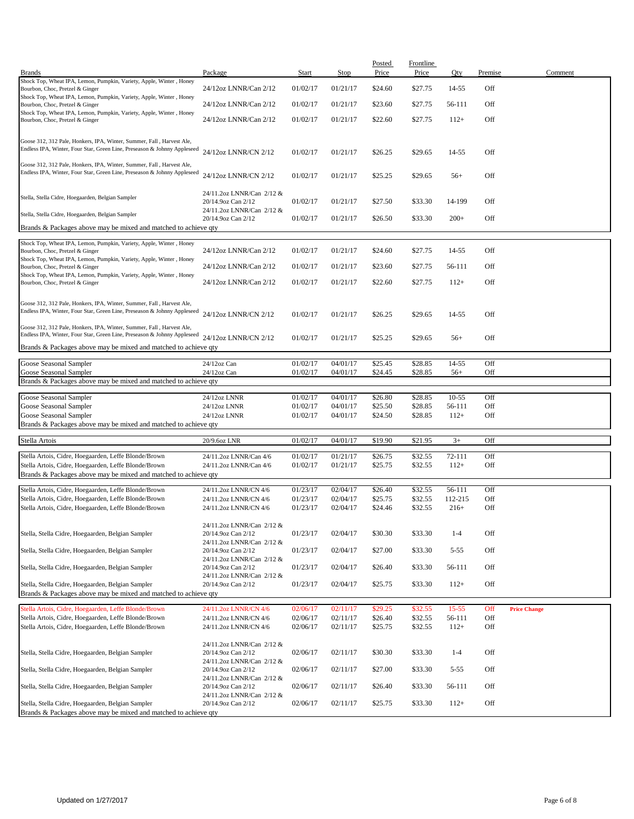| <b>Brands</b>                                                                                                                                     | Package                                         | Start    | <b>Stop</b> | Posted<br>Price | Frontline<br>Price | Qty       | Premise | Comment             |
|---------------------------------------------------------------------------------------------------------------------------------------------------|-------------------------------------------------|----------|-------------|-----------------|--------------------|-----------|---------|---------------------|
| Shock Top, Wheat IPA, Lemon, Pumpkin, Variety, Apple, Winter, Honey                                                                               |                                                 |          |             |                 |                    |           |         |                     |
| Bourbon, Choc, Pretzel & Ginger                                                                                                                   | 24/12oz LNNR/Can 2/12                           | 01/02/17 | 01/21/17    | \$24.60         | \$27.75            | 14-55     | Off     |                     |
| Shock Top, Wheat IPA, Lemon, Pumpkin, Variety, Apple, Winter, Honey                                                                               |                                                 |          |             |                 |                    |           |         |                     |
| Bourbon, Choc, Pretzel & Ginger                                                                                                                   | 24/12oz LNNR/Can 2/12                           | 01/02/17 | 01/21/17    | \$23.60         | \$27.75            | 56-111    | Off     |                     |
| Shock Top, Wheat IPA, Lemon, Pumpkin, Variety, Apple, Winter, Honey<br>Bourbon, Choc, Pretzel & Ginger                                            | 24/12oz LNNR/Can 2/12                           | 01/02/17 | 01/21/17    | \$22.60         | \$27.75            | $112+$    | Off     |                     |
|                                                                                                                                                   |                                                 |          |             |                 |                    |           |         |                     |
| Goose 312, 312 Pale, Honkers, IPA, Winter, Summer, Fall, Harvest Ale,<br>Endless IPA, Winter, Four Star, Green Line, Preseason & Johnny Appleseed | 24/12oz LNNR/CN 2/12                            | 01/02/17 | 01/21/17    | \$26.25         | \$29.65            | 14-55     | Off     |                     |
| Goose 312, 312 Pale, Honkers, IPA, Winter, Summer, Fall, Harvest Ale,                                                                             |                                                 |          |             |                 |                    |           |         |                     |
| Endless IPA, Winter, Four Star, Green Line, Preseason & Johnny Appleseed                                                                          | 24/12oz LNNR/CN 2/12                            | 01/02/17 | 01/21/17    | \$25.25         | \$29.65            | $56+$     | Off     |                     |
| Stella, Stella Cidre, Hoegaarden, Belgian Sampler                                                                                                 | 24/11.2oz LNNR/Can 2/12 &<br>20/14.9oz Can 2/12 | 01/02/17 | 01/21/17    | \$27.50         | \$33.30            | 14-199    | Off     |                     |
| Stella, Stella Cidre, Hoegaarden, Belgian Sampler                                                                                                 | 24/11.2oz LNNR/Can 2/12 &<br>20/14.9oz Can 2/12 | 01/02/17 | 01/21/17    | \$26.50         | \$33.30            | $200+$    | Off     |                     |
| Brands & Packages above may be mixed and matched to achieve qty                                                                                   |                                                 |          |             |                 |                    |           |         |                     |
|                                                                                                                                                   |                                                 |          |             |                 |                    |           |         |                     |
| Shock Top, Wheat IPA, Lemon, Pumpkin, Variety, Apple, Winter, Honey                                                                               |                                                 |          |             |                 |                    |           |         |                     |
| Bourbon, Choc, Pretzel & Ginger                                                                                                                   | 24/12oz LNNR/Can 2/12                           | 01/02/17 | 01/21/17    | \$24.60         | \$27.75            | 14-55     | Off     |                     |
| Shock Top, Wheat IPA, Lemon, Pumpkin, Variety, Apple, Winter, Honey<br>Bourbon, Choc, Pretzel & Ginger                                            | 24/12oz LNNR/Can 2/12                           | 01/02/17 | 01/21/17    | \$23.60         | \$27.75            | 56-111    | Off     |                     |
| Shock Top, Wheat IPA, Lemon, Pumpkin, Variety, Apple, Winter, Honey                                                                               |                                                 |          |             |                 |                    |           |         |                     |
| Bourbon, Choc, Pretzel & Ginger                                                                                                                   | 24/12oz LNNR/Can 2/12                           | 01/02/17 | 01/21/17    | \$22.60         | \$27.75            | $112+$    | Off     |                     |
|                                                                                                                                                   |                                                 |          |             |                 |                    |           |         |                     |
| Goose 312, 312 Pale, Honkers, IPA, Winter, Summer, Fall, Harvest Ale,                                                                             |                                                 |          |             |                 |                    |           |         |                     |
| Endless IPA, Winter, Four Star, Green Line, Preseason & Johnny Appleseed                                                                          |                                                 |          |             |                 |                    |           |         |                     |
|                                                                                                                                                   | 24/12oz LNNR/CN 2/12                            | 01/02/17 | 01/21/17    | \$26.25         | \$29.65            | 14-55     | Off     |                     |
| Goose 312, 312 Pale, Honkers, IPA, Winter, Summer, Fall, Harvest Ale,                                                                             |                                                 |          |             |                 |                    |           |         |                     |
| Endless IPA, Winter, Four Star, Green Line, Preseason & Johnny Appleseed                                                                          | 24/12oz LNNR/CN 2/12                            | 01/02/17 | 01/21/17    | \$25.25         | \$29.65            | $56+$     | Off     |                     |
| Brands & Packages above may be mixed and matched to achieve qty                                                                                   |                                                 |          |             |                 |                    |           |         |                     |
|                                                                                                                                                   |                                                 |          |             |                 |                    |           |         |                     |
| Goose Seasonal Sampler                                                                                                                            | $24/12$ oz Can                                  | 01/02/17 | 04/01/17    | \$25.45         | \$28.85            | 14-55     | Off     |                     |
| Goose Seasonal Sampler                                                                                                                            | $24/12$ oz Can                                  | 01/02/17 | 04/01/17    | \$24.45         | \$28.85            | $56+$     | Off     |                     |
| Brands & Packages above may be mixed and matched to achieve qty                                                                                   |                                                 |          |             |                 |                    |           |         |                     |
| Goose Seasonal Sampler                                                                                                                            | 24/12oz LNNR                                    | 01/02/17 | 04/01/17    | \$26.80         | \$28.85            | $10 - 55$ | Off     |                     |
| Goose Seasonal Sampler                                                                                                                            | 24/12oz LNNR                                    | 01/02/17 | 04/01/17    | \$25.50         | \$28.85            | 56-111    | Off     |                     |
| Goose Seasonal Sampler                                                                                                                            | 24/12oz LNNR                                    | 01/02/17 | 04/01/17    | \$24.50         | \$28.85            | $112+$    | Off     |                     |
| Brands & Packages above may be mixed and matched to achieve qty                                                                                   |                                                 |          |             |                 |                    |           |         |                     |
|                                                                                                                                                   |                                                 |          |             |                 |                    |           |         |                     |
| Stella Artois                                                                                                                                     | 20/9.6oz LNR                                    | 01/02/17 | 04/01/17    | \$19.90         | \$21.95            | $3+$      | Off     |                     |
|                                                                                                                                                   |                                                 |          |             |                 |                    |           |         |                     |
| Stella Artois, Cidre, Hoegaarden, Leffe Blonde/Brown                                                                                              | 24/11.2oz LNNR/Can 4/6                          | 01/02/17 | 01/21/17    | \$26.75         | \$32.55            | 72-111    | Off     |                     |
| Stella Artois, Cidre, Hoegaarden, Leffe Blonde/Brown                                                                                              | 24/11.2oz LNNR/Can 4/6                          | 01/02/17 | 01/21/17    | \$25.75         | \$32.55            | $112+$    | Off     |                     |
| Brands & Packages above may be mixed and matched to achieve qty                                                                                   |                                                 |          |             |                 |                    |           |         |                     |
| Stella Artois, Cidre, Hoegaarden, Leffe Blonde/Brown                                                                                              | 24/11.2oz LNNR/CN 4/6                           | 01/23/17 | 02/04/17    | \$26.40         | \$32.55            | 56-111    | Off     |                     |
| Stella Artois, Cidre, Hoegaarden, Leffe Blonde/Brown                                                                                              | 24/11.2oz LNNR/CN 4/6                           | 01/23/17 | 02/04/17    | \$25.75         | \$32.55            | 112-215   | Off     |                     |
| Stella Artois, Cidre, Hoegaarden, Leffe Blonde/Brown                                                                                              | 24/11.2oz LNNR/CN 4/6                           | 01/23/17 | 02/04/17    | \$24.46         | \$32.55            | $216+$    | Off     |                     |
|                                                                                                                                                   |                                                 |          |             |                 |                    |           |         |                     |
|                                                                                                                                                   | 24/11.2oz LNNR/Can 2/12 &                       |          |             |                 |                    |           |         |                     |
| Stella, Stella Cidre, Hoegaarden, Belgian Sampler                                                                                                 | 20/14.9oz Can 2/12                              | 01/23/17 | 02/04/17    | \$30.30         | \$33.30            | $1 - 4$   | Off     |                     |
|                                                                                                                                                   | 24/11.2oz LNNR/Can 2/12 &                       |          |             |                 |                    |           |         |                     |
| Stella, Stella Cidre, Hoegaarden, Belgian Sampler                                                                                                 | 20/14.9oz Can 2/12                              | 01/23/17 | 02/04/17    | \$27.00         | \$33.30            | $5 - 55$  | Off     |                     |
|                                                                                                                                                   | 24/11.2oz LNNR/Can 2/12 &                       |          |             |                 |                    |           |         |                     |
| Stella, Stella Cidre, Hoegaarden, Belgian Sampler                                                                                                 | 20/14.9oz Can 2/12<br>24/11.2oz LNNR/Can 2/12 & | 01/23/17 | 02/04/17    | \$26.40         | \$33.30            | 56-111    | Off     |                     |
| Stella, Stella Cidre, Hoegaarden, Belgian Sampler                                                                                                 | 20/14.9oz Can 2/12                              | 01/23/17 | 02/04/17    | \$25.75         | \$33.30            | $112+$    | Off     |                     |
| Brands & Packages above may be mixed and matched to achieve qty                                                                                   |                                                 |          |             |                 |                    |           |         |                     |
|                                                                                                                                                   |                                                 |          |             |                 |                    |           |         |                     |
| Stella Artois, Cidre, Hoegaarden, Leffe Blonde/Brown                                                                                              | 24/11.2oz LNNR/CN 4/6                           | 02/06/17 | 02/11/17    | \$29.25         | \$32.55            | $15 - 55$ | Off     | <b>Price Change</b> |
| Stella Artois, Cidre, Hoegaarden, Leffe Blonde/Brown                                                                                              | 24/11.2oz LNNR/CN 4/6                           | 02/06/17 | 02/11/17    | \$26.40         | \$32.55            | 56-111    | Off     |                     |
| Stella Artois, Cidre, Hoegaarden, Leffe Blonde/Brown                                                                                              | 24/11.2oz LNNR/CN 4/6                           | 02/06/17 | 02/11/17    | \$25.75         | \$32.55            | $112+$    | Off     |                     |
|                                                                                                                                                   |                                                 |          |             |                 |                    |           |         |                     |
|                                                                                                                                                   | 24/11.2oz LNNR/Can 2/12 &                       |          |             |                 |                    |           |         |                     |
| Stella, Stella Cidre, Hoegaarden, Belgian Sampler                                                                                                 | 20/14.9oz Can 2/12                              | 02/06/17 | 02/11/17    | \$30.30         | \$33.30            | $1 - 4$   | Off     |                     |
|                                                                                                                                                   | 24/11.2oz LNNR/Can 2/12 &                       |          |             |                 |                    |           |         |                     |
| Stella, Stella Cidre, Hoegaarden, Belgian Sampler                                                                                                 | 20/14.9oz Can 2/12                              | 02/06/17 | 02/11/17    | \$27.00         | \$33.30            | $5 - 55$  | Off     |                     |
|                                                                                                                                                   | 24/11.2oz LNNR/Can 2/12 &                       |          |             |                 |                    |           |         |                     |
| Stella, Stella Cidre, Hoegaarden, Belgian Sampler                                                                                                 | 20/14.9oz Can 2/12                              | 02/06/17 | 02/11/17    | \$26.40         | \$33.30            | 56-111    | Off     |                     |
| Stella, Stella Cidre, Hoegaarden, Belgian Sampler                                                                                                 | 24/11.2oz LNNR/Can 2/12 &<br>20/14.9oz Can 2/12 | 02/06/17 | 02/11/17    | \$25.75         | \$33.30            | $112+$    | Off     |                     |
| Brands & Packages above may be mixed and matched to achieve qty                                                                                   |                                                 |          |             |                 |                    |           |         |                     |
|                                                                                                                                                   |                                                 |          |             |                 |                    |           |         |                     |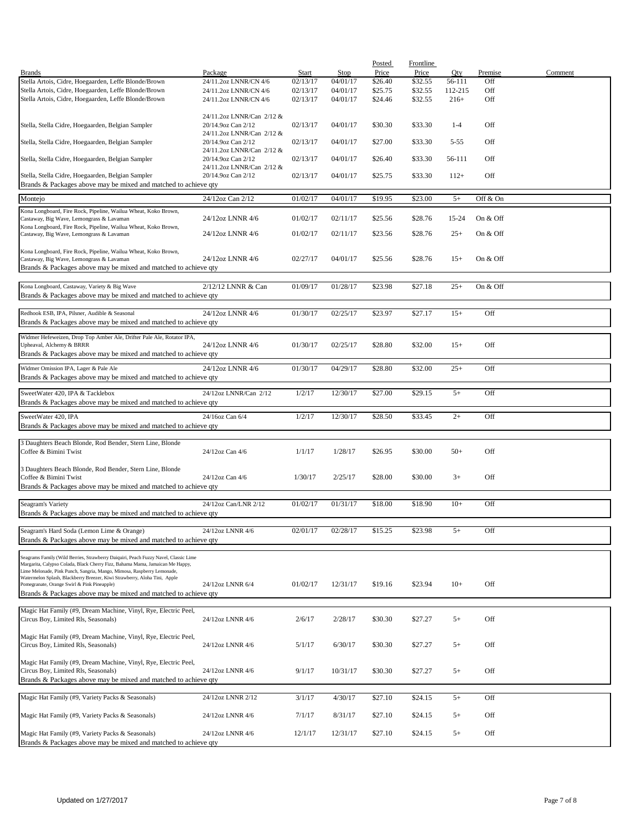|                                                                                                                          |                           |          |          | Posted  | <b>Frontline</b> |          |          |         |
|--------------------------------------------------------------------------------------------------------------------------|---------------------------|----------|----------|---------|------------------|----------|----------|---------|
| <b>Brands</b>                                                                                                            | Package                   | Start    | Stop     | Price   | Price            | Qty      | Premise  | Comment |
| Stella Artois, Cidre, Hoegaarden, Leffe Blonde/Brown                                                                     | 24/11.2oz LNNR/CN 4/6     | 02/13/17 | 04/01/17 | \$26.40 | \$32.55          | 56-111   | Off      |         |
| Stella Artois, Cidre, Hoegaarden, Leffe Blonde/Brown                                                                     | 24/11.2oz LNNR/CN 4/6     | 02/13/17 | 04/01/17 | \$25.75 | \$32.55          | 112-215  | Off      |         |
| Stella Artois, Cidre, Hoegaarden, Leffe Blonde/Brown                                                                     | 24/11.2oz LNNR/CN 4/6     | 02/13/17 | 04/01/17 | \$24.46 | \$32.55          | $216+$   | Off      |         |
|                                                                                                                          |                           |          |          |         |                  |          |          |         |
|                                                                                                                          | 24/11.2oz LNNR/Can 2/12 & |          |          |         |                  |          |          |         |
| Stella, Stella Cidre, Hoegaarden, Belgian Sampler                                                                        | 20/14.9oz Can 2/12        | 02/13/17 | 04/01/17 | \$30.30 | \$33.30          | $1 - 4$  | Off      |         |
|                                                                                                                          | 24/11.2oz LNNR/Can 2/12 & |          |          |         |                  |          |          |         |
| Stella, Stella Cidre, Hoegaarden, Belgian Sampler                                                                        | 20/14.9oz Can 2/12        | 02/13/17 | 04/01/17 | \$27.00 | \$33.30          | $5 - 55$ | Off      |         |
|                                                                                                                          | 24/11.2oz LNNR/Can 2/12 & |          |          |         |                  |          |          |         |
| Stella, Stella Cidre, Hoegaarden, Belgian Sampler                                                                        | 20/14.9oz Can 2/12        | 02/13/17 | 04/01/17 | \$26.40 | \$33.30          | 56-111   | Off      |         |
|                                                                                                                          | 24/11.2oz LNNR/Can 2/12 & |          |          |         |                  |          |          |         |
| Stella, Stella Cidre, Hoegaarden, Belgian Sampler                                                                        | 20/14.9oz Can 2/12        | 02/13/17 | 04/01/17 | \$25.75 | \$33.30          | $112+$   | Off      |         |
| Brands & Packages above may be mixed and matched to achieve qty                                                          |                           |          |          |         |                  |          |          |         |
| Montejo                                                                                                                  | 24/12oz Can 2/12          | 01/02/17 | 04/01/17 | \$19.95 | \$23.00          | $5+$     | Off & On |         |
|                                                                                                                          |                           |          |          |         |                  |          |          |         |
| Kona Longboard, Fire Rock, Pipeline, Wailua Wheat, Koko Brown,                                                           |                           |          |          |         |                  |          |          |         |
| Castaway, Big Wave, Lemongrass & Lavaman                                                                                 | 24/12oz LNNR 4/6          | 01/02/17 | 02/11/17 | \$25.56 | \$28.76          | 15-24    | On & Off |         |
| Kona Longboard, Fire Rock, Pipeline, Wailua Wheat, Koko Brown,                                                           |                           |          | 02/11/17 |         |                  | $25+$    |          |         |
| Castaway, Big Wave, Lemongrass & Lavaman                                                                                 | 24/12oz LNNR 4/6          | 01/02/17 |          | \$23.56 | \$28.76          |          | On & Off |         |
|                                                                                                                          |                           |          |          |         |                  |          |          |         |
| Kona Longboard, Fire Rock, Pipeline, Wailua Wheat, Koko Brown,<br>Castaway, Big Wave, Lemongrass & Lavaman               | 24/12oz LNNR 4/6          | 02/27/17 | 04/01/17 | \$25.56 | \$28.76          | $15+$    | On & Off |         |
| Brands & Packages above may be mixed and matched to achieve qty                                                          |                           |          |          |         |                  |          |          |         |
|                                                                                                                          |                           |          |          |         |                  |          |          |         |
|                                                                                                                          | 2/12/12 LNNR & Can        | 01/09/17 | 01/28/17 | \$23.98 | \$27.18          | $25+$    | On & Off |         |
| Kona Longboard, Castaway, Variety & Big Wave                                                                             |                           |          |          |         |                  |          |          |         |
| Brands & Packages above may be mixed and matched to achieve qty                                                          |                           |          |          |         |                  |          |          |         |
|                                                                                                                          |                           |          |          |         |                  |          |          |         |
| Redhook ESB, IPA, Pilsner, Audible & Seasonal                                                                            | 24/12oz LNNR 4/6          | 01/30/17 | 02/25/17 | \$23.97 | \$27.17          | $15+$    | Off      |         |
| Brands & Packages above may be mixed and matched to achieve qty                                                          |                           |          |          |         |                  |          |          |         |
| Widmer Hefeweizen, Drop Top Amber Ale, Drifter Pale Ale, Rotator IPA,                                                    |                           |          |          |         |                  |          |          |         |
| Upheaval, Alchemy & BRRR                                                                                                 | 24/12oz LNNR 4/6          | 01/30/17 | 02/25/17 | \$28.80 | \$32.00          | $15+$    | Off      |         |
| Brands & Packages above may be mixed and matched to achieve qty                                                          |                           |          |          |         |                  |          |          |         |
|                                                                                                                          |                           |          |          |         |                  |          |          |         |
| Widmer Omission IPA, Lager & Pale Ale                                                                                    | 24/12oz LNNR 4/6          | 01/30/17 | 04/29/17 | \$28.80 | \$32.00          | $25+$    | Off      |         |
| Brands & Packages above may be mixed and matched to achieve qty                                                          |                           |          |          |         |                  |          |          |         |
|                                                                                                                          |                           |          |          |         |                  |          |          |         |
| SweetWater 420, IPA & Tacklebox                                                                                          | 24/12oz LNNR/Can 2/12     | 1/2/17   | 12/30/17 | \$27.00 | \$29.15          | $5+$     | Off      |         |
| Brands & Packages above may be mixed and matched to achieve qty                                                          |                           |          |          |         |                  |          |          |         |
| SweetWater 420, IPA                                                                                                      | 24/16oz Can 6/4           | 1/2/17   | 12/30/17 | \$28.50 | \$33.45          | $2+$     | Off      |         |
| Brands & Packages above may be mixed and matched to achieve qty                                                          |                           |          |          |         |                  |          |          |         |
|                                                                                                                          |                           |          |          |         |                  |          |          |         |
| 3 Daughters Beach Blonde, Rod Bender, Stern Line, Blonde                                                                 |                           |          |          |         |                  |          |          |         |
| Coffee & Bimini Twist                                                                                                    | 24/12oz Can 4/6           | 1/1/17   | 1/28/17  | \$26.95 | \$30.00          | $50+$    | Off      |         |
|                                                                                                                          |                           |          |          |         |                  |          |          |         |
| 3 Daughters Beach Blonde, Rod Bender, Stern Line, Blonde                                                                 |                           |          |          |         |                  |          |          |         |
| Coffee & Bimini Twist                                                                                                    | 24/12oz Can 4/6           | 1/30/17  | 2/25/17  | \$28.00 | \$30.00          | $3+$     | Off      |         |
| Brands & Packages above may be mixed and matched to achieve qty                                                          |                           |          |          |         |                  |          |          |         |
|                                                                                                                          |                           |          |          |         |                  |          |          |         |
| Seagram's Variety                                                                                                        | 24/12oz Can/LNR 2/12      | 01/02/17 | 01/31/17 | \$18.00 | \$18.90          | $10+$    | Off      |         |
| Brands & Packages above may be mixed and matched to achieve qty                                                          |                           |          |          |         |                  |          |          |         |
|                                                                                                                          |                           |          |          |         |                  |          |          |         |
| Seagram's Hard Soda (Lemon Lime & Orange)                                                                                | 24/12oz LNNR 4/6          | 02/01/17 | 02/28/17 | \$15.25 | \$23.98          | $5+$     | Off      |         |
| Brands & Packages above may be mixed and matched to achieve qty                                                          |                           |          |          |         |                  |          |          |         |
|                                                                                                                          |                           |          |          |         |                  |          |          |         |
| Seagrams Family (Wild Berries, Strawberry Daiquiri, Peach Fuzzy Navel, Classic Lime                                      |                           |          |          |         |                  |          |          |         |
| Margarita, Calypso Colada, Black Cherry Fizz, Bahama Mama, Jamaican Me Happy,                                            |                           |          |          |         |                  |          |          |         |
| Lime Melonade, Pink Punch, Sangria, Mango, Mimosa, Raspberry Lemonade,                                                   |                           |          |          |         |                  |          |          |         |
| Watermelon Splash, Blackberry Breezer, Kiwi Strawberry, Aloha Tini, Apple<br>Pomegranate, Orange Swirl & Pink Pineapple) | 24/12oz LNNR 6/4          | 01/02/17 | 12/31/17 | \$19.16 | \$23.94          | $10+$    | Off      |         |
| Brands & Packages above may be mixed and matched to achieve qty                                                          |                           |          |          |         |                  |          |          |         |
|                                                                                                                          |                           |          |          |         |                  |          |          |         |
| Magic Hat Family (#9, Dream Machine, Vinyl, Rye, Electric Peel,                                                          |                           |          |          |         |                  |          |          |         |
| Circus Boy, Limited Rls, Seasonals)                                                                                      | 24/12oz LNNR 4/6          | 2/6/17   | 2/28/17  | \$30.30 | \$27.27          | $5+$     | Off      |         |
|                                                                                                                          |                           |          |          |         |                  |          |          |         |
| Magic Hat Family (#9, Dream Machine, Vinyl, Rye, Electric Peel,                                                          |                           |          |          |         |                  |          |          |         |
| Circus Boy, Limited Rls, Seasonals)                                                                                      | 24/12oz LNNR 4/6          | 5/1/17   | 6/30/17  | \$30.30 | \$27.27          | $5+$     | Off      |         |
|                                                                                                                          |                           |          |          |         |                  |          |          |         |
| Magic Hat Family (#9, Dream Machine, Vinyl, Rye, Electric Peel,                                                          |                           |          |          |         |                  |          |          |         |
| Circus Boy, Limited Rls, Seasonals)                                                                                      | 24/12oz LNNR 4/6          | 9/1/17   | 10/31/17 | \$30.30 | \$27.27          | $5+$     | Off      |         |
| Brands & Packages above may be mixed and matched to achieve qty                                                          |                           |          |          |         |                  |          |          |         |
|                                                                                                                          |                           |          |          |         |                  |          |          |         |
| Magic Hat Family (#9, Variety Packs & Seasonals)                                                                         | 24/12oz LNNR 2/12         | 3/1/17   | 4/30/17  | \$27.10 | \$24.15          | $5+$     | Off      |         |
|                                                                                                                          |                           |          |          |         |                  |          |          |         |
| Magic Hat Family (#9, Variety Packs & Seasonals)                                                                         | 24/12oz LNNR 4/6          | 7/1/17   | 8/31/17  | \$27.10 | \$24.15          | $5+$     | Off      |         |
|                                                                                                                          |                           |          |          |         |                  |          |          |         |
| Magic Hat Family (#9, Variety Packs & Seasonals)                                                                         | 24/12oz LNNR 4/6          | 12/1/17  | 12/31/17 | \$27.10 | \$24.15          | $5+$     | Off      |         |
| Brands & Packages above may be mixed and matched to achieve qty                                                          |                           |          |          |         |                  |          |          |         |
|                                                                                                                          |                           |          |          |         |                  |          |          |         |